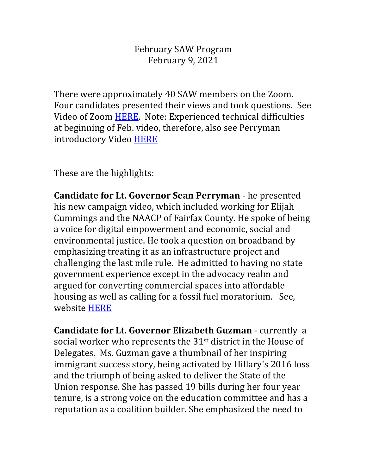February SAW Program February 9, 2021

There were approximately 40 SAW members on the Zoom. Four candidates presented their views and took questions. See Video of Zoom [HERE.](https://youtu.be/r3yfJuVlmwQ) Note: Experienced technical difficulties at beginning of Feb. video, therefore, also see Perryman introductory Video [HERE](https://www.facebook.com/Perryman4VA/videos/116936223652904)

These are the highlights:

**Candidate for Lt. Governor Sean Perryman** - he presented his new campaign video, which included working for Elijah Cummings and the NAACP of Fairfax County. He spoke of being a voice for digital empowerment and economic, social and environmental justice. He took a question on broadband by emphasizing treating it as an infrastructure project and challenging the last mile rule. He admitted to having no state government experience except in the advocacy realm and argued for converting commercial spaces into affordable housing as well as calling for a fossil fuel moratorium. See, website [HERE](https://perrymanforvirginia.com/)

**Candidate for Lt. Governor Elizabeth Guzman** - currently a social worker who represents the 31<sup>st</sup> district in the House of Delegates. Ms. Guzman gave a thumbnail of her inspiring immigrant success story, being activated by Hillary's 2016 loss and the triumph of being asked to deliver the State of the Union response. She has passed 19 bills during her four year tenure, is a strong voice on the education committee and has a reputation as a coalition builder. She emphasized the need to